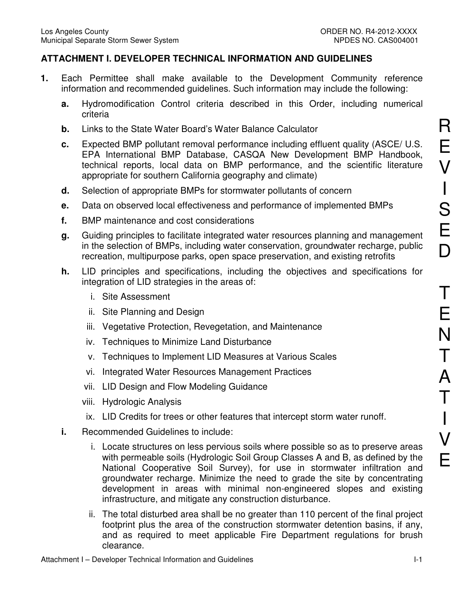## **ATTACHMENT I. DEVELOPER TECHNICAL INFORMATION AND GUIDELINES**

- **1.** Each Permittee shall make available to the Development Community reference information and recommended guidelines. Such information may include the following:
	- **a.** Hydromodification Control criteria described in this Order, including numerical criteria
	- **b.** Links to the State Water Board's Water Balance Calculator
	- **c.** Expected BMP pollutant removal performance including effluent quality (ASCE/ U.S. EPA International BMP Database, CASQA New Development BMP Handbook, technical reports, local data on BMP performance, and the scientific literature appropriate for southern California geography and climate)
	- **d.** Selection of appropriate BMPs for stormwater pollutants of concern
	- **e.** Data on observed local effectiveness and performance of implemented BMPs
	- **f.** BMP maintenance and cost considerations
	- **g.** Guiding principles to facilitate integrated water resources planning and management in the selection of BMPs, including water conservation, groundwater recharge, public recreation, multipurpose parks, open space preservation, and existing retrofits
	- **h.** LID principles and specifications, including the objectives and specifications for integration of LID strategies in the areas of:
		- i. Site Assessment
		- ii. Site Planning and Design
		- iii. Vegetative Protection, Revegetation, and Maintenance
		- iv. Techniques to Minimize Land Disturbance
		- v. Techniques to Implement LID Measures at Various Scales
		- vi. Integrated Water Resources Management Practices
		- vii. LID Design and Flow Modeling Guidance
		- viii. Hydrologic Analysis
		- ix. LID Credits for trees or other features that intercept storm water runoff.
	- **i.** Recommended Guidelines to include:
		- i. Locate structures on less pervious soils where possible so as to preserve areas with permeable soils (Hydrologic Soil Group Classes A and B, as defined by the National Cooperative Soil Survey), for use in stormwater infiltration and groundwater recharge. Minimize the need to grade the site by concentrating development in areas with minimal non-engineered slopes and existing infrastructure, and mitigate any construction disturbance.
		- ii. The total disturbed area shall be no greater than 110 percent of the final project footprint plus the area of the construction stormwater detention basins, if any, and as required to meet applicable Fire Department regulations for brush clearance.

R

E